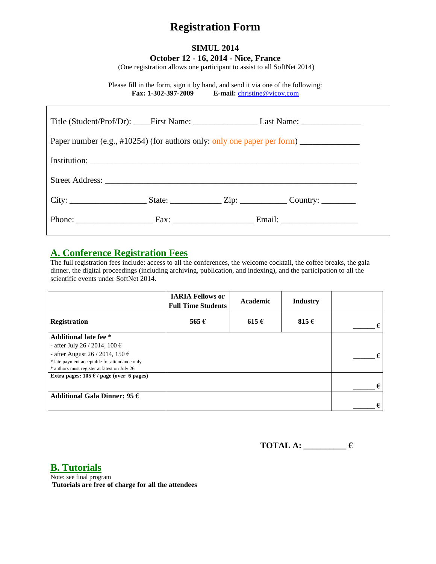# **Registration Form**

### **SIMUL 2014 October 12 - 16, 2014 - Nice, France**

(One registration allows one participant to assist to all SoftNet 2014)

Please fill in the form, sign it by hand, and send it via one of the following: **Fax: 1-302-397-2009 E-mail:** [christine@vicov.com](mailto:christine@vicov.com)

|  | Paper number (e.g., #10254) (for authors only: only one paper per form) _______________ |  |
|--|-----------------------------------------------------------------------------------------|--|
|  |                                                                                         |  |
|  |                                                                                         |  |
|  |                                                                                         |  |
|  |                                                                                         |  |

## **A. Conference Registration Fees**

The full registration fees include: access to all the conferences, the welcome cocktail, the coffee breaks, the gala dinner, the digital proceedings (including archiving, publication, and indexing), and the participation to all the scientific events under SoftNet 2014.

|                                                 | <b>IARIA Fellows or</b><br><b>Full Time Students</b> | Academic  | <b>Industry</b> |   |
|-------------------------------------------------|------------------------------------------------------|-----------|-----------------|---|
| <b>Registration</b>                             | 565 $\epsilon$                                       | $615 \in$ | 815 $\epsilon$  | € |
| <b>Additional late fee</b> *                    |                                                      |           |                 |   |
| - after July 26 / 2014, 100 €                   |                                                      |           |                 |   |
| - after August 26 / 2014, 150 $\epsilon$        |                                                      |           |                 |   |
| * late payment acceptable for attendance only   |                                                      |           |                 |   |
| * authors must register at latest on July 26    |                                                      |           |                 |   |
| Extra pages: $105 \in \ell$ page (over 6 pages) |                                                      |           |                 |   |
|                                                 |                                                      |           |                 | € |
| Additional Gala Dinner: 95 $\epsilon$           |                                                      |           |                 |   |
|                                                 |                                                      |           |                 | € |

**TOTAL A: \_\_\_\_\_\_\_\_\_\_ €**

**B. Tutorials**

Note: see final program **Tutorials are free of charge for all the attendees**